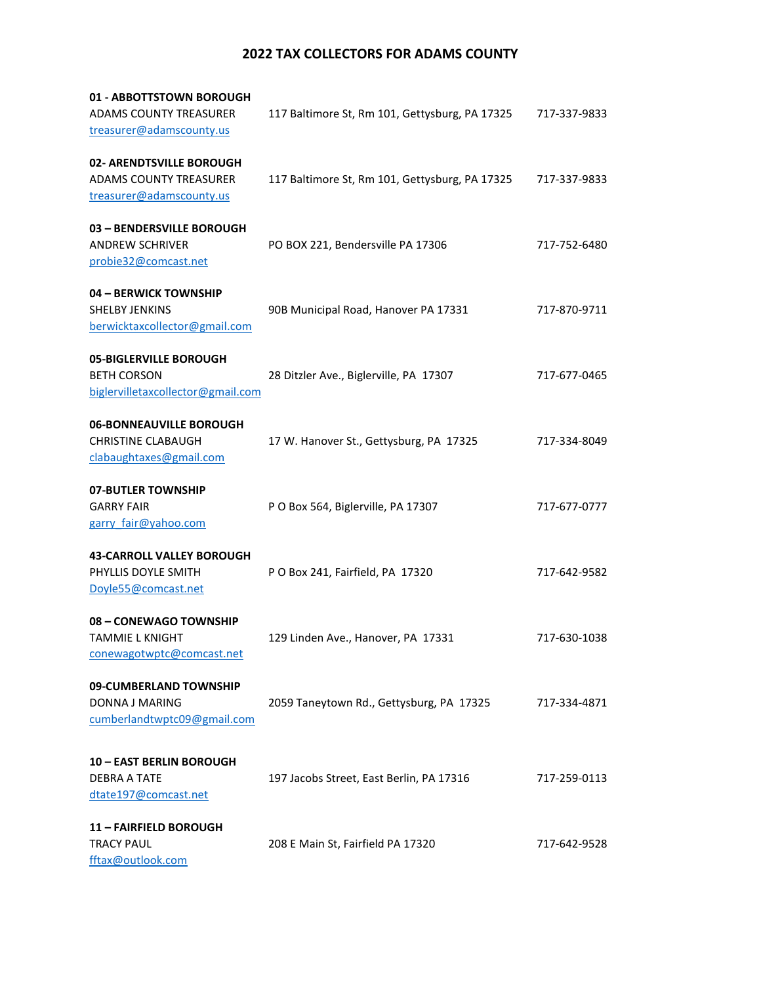## **2022 TAX COLLECTORS FOR ADAMS COUNTY**

| 01 - ABBOTTSTOWN BOROUGH          |                                                |              |
|-----------------------------------|------------------------------------------------|--------------|
| ADAMS COUNTY TREASURER            | 117 Baltimore St, Rm 101, Gettysburg, PA 17325 | 717-337-9833 |
| treasurer@adamscounty.us          |                                                |              |
|                                   |                                                |              |
| 02- ARENDTSVILLE BOROUGH          |                                                |              |
| ADAMS COUNTY TREASURER            | 117 Baltimore St, Rm 101, Gettysburg, PA 17325 | 717-337-9833 |
| treasurer@adamscounty.us          |                                                |              |
|                                   |                                                |              |
| 03 - BENDERSVILLE BOROUGH         |                                                |              |
| <b>ANDREW SCHRIVER</b>            | PO BOX 221, Bendersville PA 17306              | 717-752-6480 |
| probie32@comcast.net              |                                                |              |
|                                   |                                                |              |
| 04 - BERWICK TOWNSHIP             |                                                |              |
| <b>SHELBY JENKINS</b>             | 90B Municipal Road, Hanover PA 17331           | 717-870-9711 |
| berwicktaxcollector@gmail.com     |                                                |              |
|                                   |                                                |              |
| 05-BIGLERVILLE BOROUGH            |                                                |              |
| <b>BETH CORSON</b>                | 28 Ditzler Ave., Biglerville, PA 17307         | 717-677-0465 |
| biglervilletaxcollector@gmail.com |                                                |              |
|                                   |                                                |              |
| 06-BONNEAUVILLE BOROUGH           |                                                |              |
| <b>CHRISTINE CLABAUGH</b>         | 17 W. Hanover St., Gettysburg, PA 17325        | 717-334-8049 |
| clabaughtaxes@gmail.com           |                                                |              |
|                                   |                                                |              |
| 07-BUTLER TOWNSHIP                |                                                |              |
| <b>GARRY FAIR</b>                 | P O Box 564, Biglerville, PA 17307             | 717-677-0777 |
| garry fair@yahoo.com              |                                                |              |
|                                   |                                                |              |
| <b>43-CARROLL VALLEY BOROUGH</b>  |                                                |              |
| PHYLLIS DOYLE SMITH               | P O Box 241, Fairfield, PA 17320               | 717-642-9582 |
| Doyle55@comcast.net               |                                                |              |
|                                   |                                                |              |
| 08 - CONEWAGO TOWNSHIP            |                                                |              |
| <b>TAMMIE L KNIGHT</b>            | 129 Linden Ave., Hanover, PA 17331             | 717-630-1038 |
| conewagotwptc@comcast.net         |                                                |              |
|                                   |                                                |              |
| 09-CUMBERLAND TOWNSHIP            |                                                |              |
| DONNA J MARING                    | 2059 Taneytown Rd., Gettysburg, PA 17325       | 717-334-4871 |
| cumberlandtwptc09@gmail.com       |                                                |              |
|                                   |                                                |              |
|                                   |                                                |              |
| <b>10 - EAST BERLIN BOROUGH</b>   |                                                |              |
| DEBRA A TATE                      | 197 Jacobs Street, East Berlin, PA 17316       | 717-259-0113 |
| dtate197@comcast.net              |                                                |              |
|                                   |                                                |              |
| 11 - FAIRFIELD BOROUGH            |                                                |              |
| <b>TRACY PAUL</b>                 | 208 E Main St, Fairfield PA 17320              | 717-642-9528 |
| fftax@outlook.com                 |                                                |              |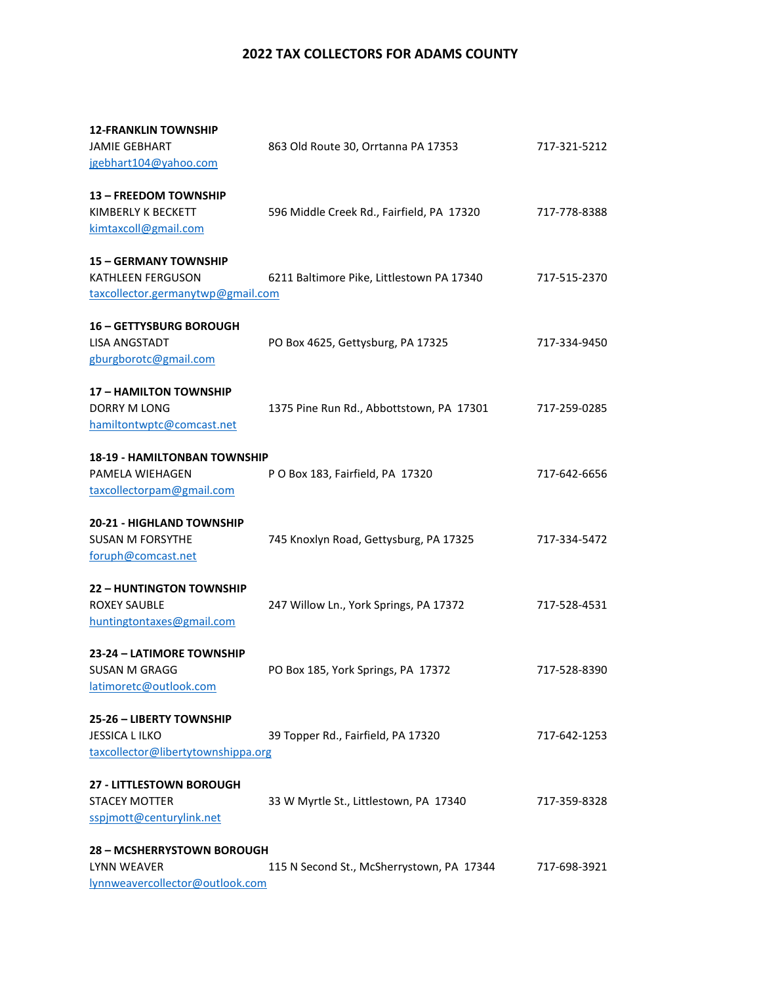## **2022 TAX COLLECTORS FOR ADAMS COUNTY**

| <b>12-FRANKLIN TOWNSHIP</b>         |                                           |              |
|-------------------------------------|-------------------------------------------|--------------|
| <b>JAMIE GEBHART</b>                | 863 Old Route 30, Orrtanna PA 17353       | 717-321-5212 |
| jgebhart104@yahoo.com               |                                           |              |
| 13 - FREEDOM TOWNSHIP               |                                           |              |
| KIMBERLY K BECKETT                  | 596 Middle Creek Rd., Fairfield, PA 17320 | 717-778-8388 |
| kimtaxcoll@gmail.com                |                                           |              |
| <b>15 - GERMANY TOWNSHIP</b>        |                                           |              |
| KATHLEEN FERGUSON                   | 6211 Baltimore Pike, Littlestown PA 17340 | 717-515-2370 |
| taxcollector.germanytwp@gmail.com   |                                           |              |
| <b>16 - GETTYSBURG BOROUGH</b>      |                                           |              |
| <b>LISA ANGSTADT</b>                | PO Box 4625, Gettysburg, PA 17325         | 717-334-9450 |
| gburgborotc@gmail.com               |                                           |              |
| <b>17 - HAMILTON TOWNSHIP</b>       |                                           |              |
| <b>DORRY M LONG</b>                 | 1375 Pine Run Rd., Abbottstown, PA 17301  | 717-259-0285 |
| hamiltontwptc@comcast.net           |                                           |              |
| <b>18-19 - HAMILTONBAN TOWNSHIP</b> |                                           |              |
| PAMELA WIEHAGEN                     | P O Box 183, Fairfield, PA 17320          | 717-642-6656 |
| taxcollectorpam@gmail.com           |                                           |              |
| 20-21 - HIGHLAND TOWNSHIP           |                                           |              |
| <b>SUSAN M FORSYTHE</b>             | 745 Knoxlyn Road, Gettysburg, PA 17325    | 717-334-5472 |
| foruph@comcast.net                  |                                           |              |
| <b>22 - HUNTINGTON TOWNSHIP</b>     |                                           |              |
| ROXEY SAUBLE                        | 247 Willow Ln., York Springs, PA 17372    | 717-528-4531 |
| huntingtontaxes@gmail.com           |                                           |              |
| 23-24 - LATIMORE TOWNSHIP           |                                           |              |
| SUSAN M GRAGG                       | PO Box 185, York Springs, PA 17372        | 717-528-8390 |
| latimoretc@outlook.com              |                                           |              |
| 25-26 - LIBERTY TOWNSHIP            |                                           |              |
| <b>JESSICA LILKO</b>                | 39 Topper Rd., Fairfield, PA 17320        | 717-642-1253 |
| taxcollector@libertytownshippa.org  |                                           |              |
| <b>27 - LITTLESTOWN BOROUGH</b>     |                                           |              |
| <b>STACEY MOTTER</b>                | 33 W Myrtle St., Littlestown, PA 17340    | 717-359-8328 |
| sspjmott@centurylink.net            |                                           |              |
| <b>28 - MCSHERRYSTOWN BOROUGH</b>   |                                           |              |
| LYNN WEAVER                         | 115 N Second St., McSherrystown, PA 17344 | 717-698-3921 |
| lynnweavercollector@outlook.com     |                                           |              |